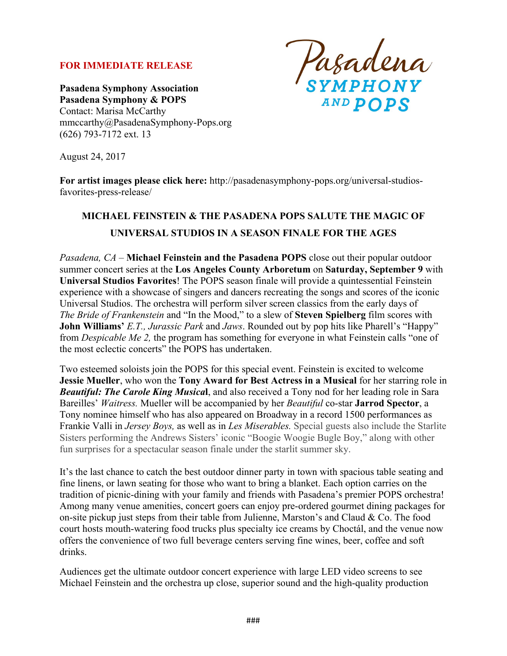#### **FOR IMMEDIATE RELEASE**

**Pasadena Symphony Association Pasadena Symphony & POPS** Contact: Marisa McCarthy mmccarthy@PasadenaSymphony-Pops.org (626) 793-7172 ext. 13

Pasadena<br>symphony AND POPS

August 24, 2017

**For artist images please click here:** http://pasadenasymphony-pops.org/universal-studiosfavorites-press-release/

# **MICHAEL FEINSTEIN & THE PASADENA POPS SALUTE THE MAGIC OF UNIVERSAL STUDIOS IN A SEASON FINALE FOR THE AGES**

*Pasadena, CA –* **Michael Feinstein and the Pasadena POPS** close out their popular outdoor summer concert series at the **Los Angeles County Arboretum** on **Saturday, September 9** with **Universal Studios Favorites**! The POPS season finale will provide a quintessential Feinstein experience with a showcase of singers and dancers recreating the songs and scores of the iconic Universal Studios. The orchestra will perform silver screen classics from the early days of *The Bride of Frankenstein* and "In the Mood," to a slew of **Steven Spielberg** film scores with **John Williams'** *E.T., Jurassic Park* and *Jaws*. Rounded out by pop hits like Pharell's "Happy" from *Despicable Me 2,* the program has something for everyone in what Feinstein calls "one of the most eclectic concerts" the POPS has undertaken.

Two esteemed soloists join the POPS for this special event. Feinstein is excited to welcome **Jessie Mueller**, who won the **Tony Award for Best Actress in a Musical** for her starring role in *Beautiful: The Carole King Musica***l**, and also received a Tony nod for her leading role in Sara Bareilles' *Waitress.* Mueller will be accompanied by her *Beautiful* co-star **Jarrod Spector**, a Tony nominee himself who has also appeared on Broadway in a record 1500 performances as Frankie Valli in *Jersey Boys,* as well as in *Les Miserables.* Special guests also include the Starlite Sisters performing the Andrews Sisters' iconic "Boogie Woogie Bugle Boy," along with other fun surprises for a spectacular season finale under the starlit summer sky.

It's the last chance to catch the best outdoor dinner party in town with spacious table seating and fine linens, or lawn seating for those who want to bring a blanket. Each option carries on the tradition of picnic-dining with your family and friends with Pasadena's premier POPS orchestra! Among many venue amenities, concert goers can enjoy pre-ordered gourmet dining packages for on-site pickup just steps from their table from Julienne, Marston's and Claud  $& Co$ . The food court hosts mouth-watering food trucks plus specialty ice creams by Choctál, and the venue now offers the convenience of two full beverage centers serving fine wines, beer, coffee and soft drinks.

Audiences get the ultimate outdoor concert experience with large LED video screens to see Michael Feinstein and the orchestra up close, superior sound and the high-quality production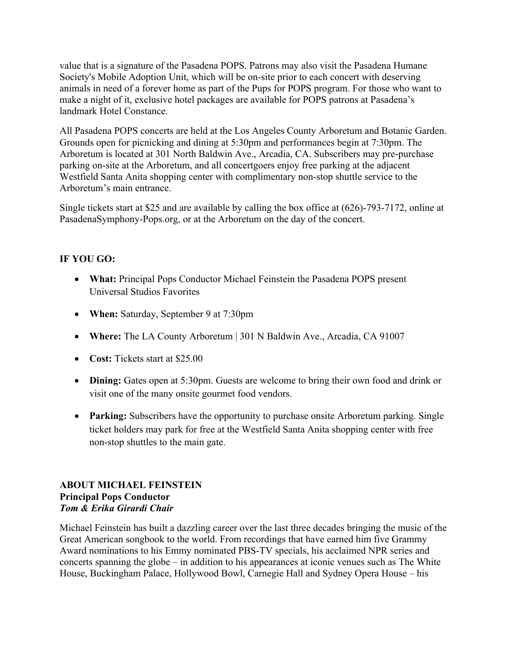value that is a signature of the Pasadena POPS. Patrons may also visit the Pasadena Humane Society's Mobile Adoption Unit, which will be on-site prior to each concert with deserving animals in need of a forever home as part of the Pups for POPS program. For those who want to make a night of it, exclusive hotel packages are available for POPS patrons at Pasadena's landmark Hotel Constance.

All Pasadena POPS concerts are held at the Los Angeles County Arboretum and Botanic Garden. Grounds open for picnicking and dining at 5:30pm and performances begin at 7:30pm. The Arboretum is located at 301 North Baldwin Ave., Arcadia, CA. Subscribers may pre-purchase parking on-site at the Arboretum, and all concertgoers enjoy free parking at the adjacent Westfield Santa Anita shopping center with complimentary non-stop shuttle service to the Arboretum's main entrance.

Single tickets start at \$25 and are available by calling the box office at (626)-793-7172, online at PasadenaSymphony-Pops.org, or at the Arboretum on the day of the concert.

# **IF YOU GO:**

- **What:** Principal Pops Conductor Michael Feinstein the Pasadena POPS present Universal Studios Favorites
- **When:** Saturday, September 9 at 7:30pm
- **Where:** The LA County Arboretum | 301 N Baldwin Ave., Arcadia, CA 91007
- **Cost:** Tickets start at \$25.00
- **Dining:** Gates open at 5:30pm. Guests are welcome to bring their own food and drink or visit one of the many onsite gourmet food vendors.
- **Parking:** Subscribers have the opportunity to purchase onsite Arboretum parking. Single ticket holders may park for free at the Westfield Santa Anita shopping center with free non-stop shuttles to the main gate.

## **ABOUT MICHAEL FEINSTEIN Principal Pops Conductor** *Tom & Erika Girardi Chair*

Michael Feinstein has built a dazzling career over the last three decades bringing the music of the Great American songbook to the world. From recordings that have earned him five Grammy Award nominations to his Emmy nominated PBS-TV specials, his acclaimed NPR series and concerts spanning the globe – in addition to his appearances at iconic venues such as The White House, Buckingham Palace, Hollywood Bowl, Carnegie Hall and Sydney Opera House – his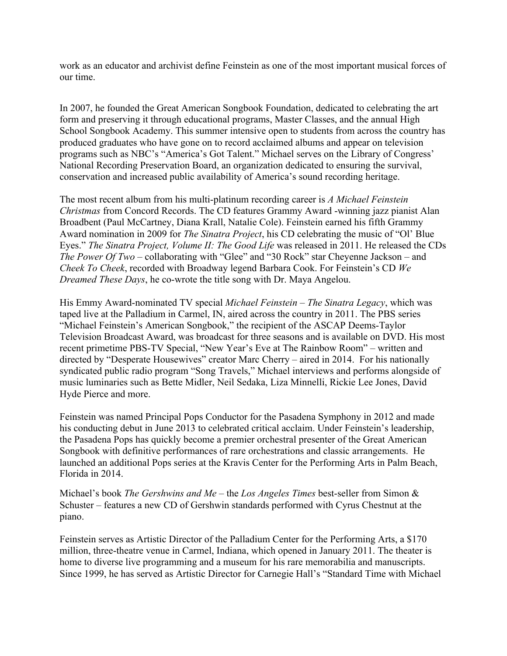work as an educator and archivist define Feinstein as one of the most important musical forces of our time.

In 2007, he founded the Great American Songbook Foundation, dedicated to celebrating the art form and preserving it through educational programs, Master Classes, and the annual High School Songbook Academy. This summer intensive open to students from across the country has produced graduates who have gone on to record acclaimed albums and appear on television programs such as NBC's "America's Got Talent." Michael serves on the Library of Congress' National Recording Preservation Board, an organization dedicated to ensuring the survival, conservation and increased public availability of America's sound recording heritage.

The most recent album from his multi-platinum recording career is *A Michael Feinstein Christmas* from Concord Records. The CD features Grammy Award -winning jazz pianist Alan Broadbent (Paul McCartney, Diana Krall, Natalie Cole). Feinstein earned his fifth Grammy Award nomination in 2009 for *The Sinatra Project*, his CD celebrating the music of "Ol' Blue Eyes." *The Sinatra Project, Volume II: The Good Life* was released in 2011. He released the CDs *The Power Of Two* – collaborating with "Glee" and "30 Rock" star Cheyenne Jackson – and *Cheek To Cheek*, recorded with Broadway legend Barbara Cook. For Feinstein's CD *We Dreamed These Days*, he co-wrote the title song with Dr. Maya Angelou.

His Emmy Award-nominated TV special *Michael Feinstein – The Sinatra Legacy*, which was taped live at the Palladium in Carmel, IN, aired across the country in 2011. The PBS series "Michael Feinstein's American Songbook," the recipient of the ASCAP Deems-Taylor Television Broadcast Award, was broadcast for three seasons and is available on DVD. His most recent primetime PBS-TV Special, "New Year's Eve at The Rainbow Room" *–* written and directed by "Desperate Housewives" creator Marc Cherry *–* aired in 2014. For his nationally syndicated public radio program "Song Travels," Michael interviews and performs alongside of music luminaries such as Bette Midler, Neil Sedaka, Liza Minnelli, Rickie Lee Jones, David Hyde Pierce and more.

Feinstein was named Principal Pops Conductor for the Pasadena Symphony in 2012 and made his conducting debut in June 2013 to celebrated critical acclaim. Under Feinstein's leadership, the Pasadena Pops has quickly become a premier orchestral presenter of the Great American Songbook with definitive performances of rare orchestrations and classic arrangements. He launched an additional Pops series at the Kravis Center for the Performing Arts in Palm Beach, Florida in 2014.

Michael's book *The Gershwins and Me* – the *Los Angeles Times* best-seller from Simon & Schuster – features a new CD of Gershwin standards performed with Cyrus Chestnut at the piano.

Feinstein serves as Artistic Director of the Palladium Center for the Performing Arts, a \$170 million, three-theatre venue in Carmel, Indiana, which opened in January 2011. The theater is home to diverse live programming and a museum for his rare memorabilia and manuscripts. Since 1999, he has served as Artistic Director for Carnegie Hall's "Standard Time with Michael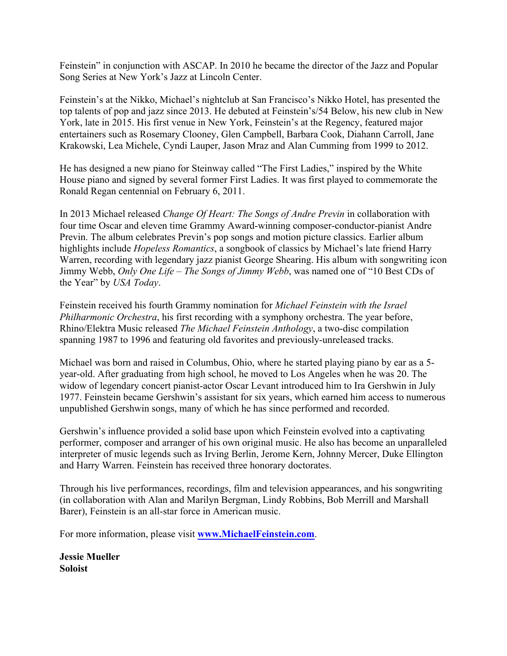Feinstein" in conjunction with ASCAP. In 2010 he became the director of the Jazz and Popular Song Series at New York's Jazz at Lincoln Center.

Feinstein's at the Nikko, Michael's nightclub at San Francisco's Nikko Hotel, has presented the top talents of pop and jazz since 2013. He debuted at Feinstein's/54 Below, his new club in New York, late in 2015. His first venue in New York, Feinstein's at the Regency, featured major entertainers such as Rosemary Clooney, Glen Campbell, Barbara Cook, Diahann Carroll, Jane Krakowski, Lea Michele, Cyndi Lauper, Jason Mraz and Alan Cumming from 1999 to 2012.

He has designed a new piano for Steinway called "The First Ladies," inspired by the White House piano and signed by several former First Ladies. It was first played to commemorate the Ronald Regan centennial on February 6, 2011.

In 2013 Michael released *Change Of Heart: The Songs of Andre Previn* in collaboration with four time Oscar and eleven time Grammy Award-winning composer-conductor-pianist Andre Previn. The album celebrates Previn's pop songs and motion picture classics. Earlier album highlights include *Hopeless Romantics*, a songbook of classics by Michael's late friend Harry Warren, recording with legendary jazz pianist George Shearing. His album with songwriting icon Jimmy Webb, *Only One Life – The Songs of Jimmy Webb*, was named one of "10 Best CDs of the Year" by *USA Today*.

Feinstein received his fourth Grammy nomination for *Michael Feinstein with the Israel Philharmonic Orchestra*, his first recording with a symphony orchestra. The year before, Rhino/Elektra Music released *The Michael Feinstein Anthology*, a two-disc compilation spanning 1987 to 1996 and featuring old favorites and previously-unreleased tracks.

Michael was born and raised in Columbus, Ohio, where he started playing piano by ear as a 5 year-old. After graduating from high school, he moved to Los Angeles when he was 20. The widow of legendary concert pianist-actor Oscar Levant introduced him to Ira Gershwin in July 1977. Feinstein became Gershwin's assistant for six years, which earned him access to numerous unpublished Gershwin songs, many of which he has since performed and recorded.

Gershwin's influence provided a solid base upon which Feinstein evolved into a captivating performer, composer and arranger of his own original music. He also has become an unparalleled interpreter of music legends such as Irving Berlin, Jerome Kern, Johnny Mercer, Duke Ellington and Harry Warren. Feinstein has received three honorary doctorates.

Through his live performances, recordings, film and television appearances, and his songwriting (in collaboration with Alan and Marilyn Bergman, Lindy Robbins, Bob Merrill and Marshall Barer), Feinstein is an all-star force in American music.

For more information, please visit **www.MichaelFeinstein.com**.

**Jessie Mueller Soloist**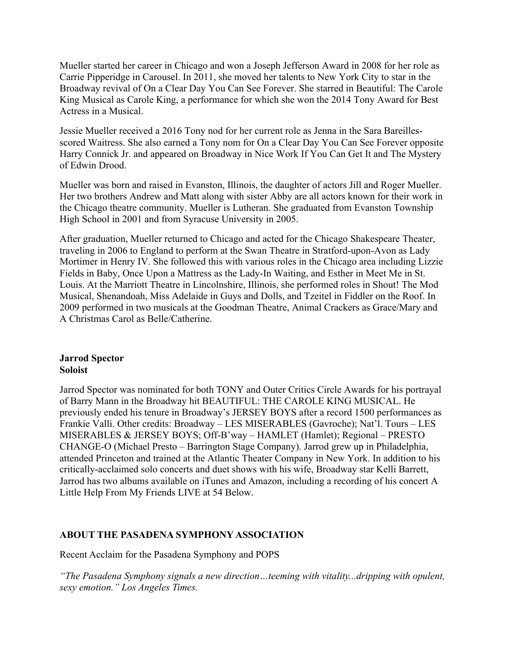Mueller started her career in Chicago and won a Joseph Jefferson Award in 2008 for her role as Carrie Pipperidge in Carousel. In 2011, she moved her talents to New York City to star in the Broadway revival of On a Clear Day You Can See Forever. She starred in Beautiful: The Carole King Musical as Carole King, a performance for which she won the 2014 Tony Award for Best Actress in a Musical.

Jessie Mueller received a 2016 Tony nod for her current role as Jenna in the Sara Bareillesscored Waitress. She also earned a Tony nom for On a Clear Day You Can See Forever opposite Harry Connick Jr. and appeared on Broadway in Nice Work If You Can Get It and The Mystery of Edwin Drood.

Mueller was born and raised in Evanston, Illinois, the daughter of actors Jill and Roger Mueller. Her two brothers Andrew and Matt along with sister Abby are all actors known for their work in the Chicago theatre community. Mueller is Lutheran. She graduated from Evanston Township High School in 2001 and from Syracuse University in 2005.

After graduation, Mueller returned to Chicago and acted for the Chicago Shakespeare Theater, traveling in 2006 to England to perform at the Swan Theatre in Stratford-upon-Avon as Lady Mortimer in Henry IV. She followed this with various roles in the Chicago area including Lizzie Fields in Baby, Once Upon a Mattress as the Lady-In Waiting, and Esther in Meet Me in St. Louis. At the Marriott Theatre in Lincolnshire, Illinois, she performed roles in Shout! The Mod Musical, Shenandoah, Miss Adelaide in Guys and Dolls, and Tzeitel in Fiddler on the Roof. In 2009 performed in two musicals at the Goodman Theatre, Animal Crackers as Grace/Mary and A Christmas Carol as Belle/Catherine.

### **Jarrod Spector Soloist**

Jarrod Spector was nominated for both TONY and Outer Critics Circle Awards for his portrayal of Barry Mann in the Broadway hit BEAUTIFUL: THE CAROLE KING MUSICAL. He previously ended his tenure in Broadway's JERSEY BOYS after a record 1500 performances as Frankie Valli. Other credits: Broadway – LES MISERABLES (Gavroche); Nat'l. Tours – LES MISERABLES & JERSEY BOYS; Off-B'way – HAMLET (Hamlet); Regional – PRESTO CHANGE-O (Michael Presto – Barrington Stage Company). Jarrod grew up in Philadelphia, attended Princeton and trained at the Atlantic Theater Company in New York. In addition to his critically-acclaimed solo concerts and duet shows with his wife, Broadway star Kelli Barrett, Jarrod has two albums available on iTunes and Amazon, including a recording of his concert A Little Help From My Friends LIVE at 54 Below.

# **ABOUT THE PASADENA SYMPHONY ASSOCIATION**

Recent Acclaim for the Pasadena Symphony and POPS

*"The Pasadena Symphony signals a new direction…teeming with vitality...dripping with opulent, sexy emotion." Los Angeles Times.*